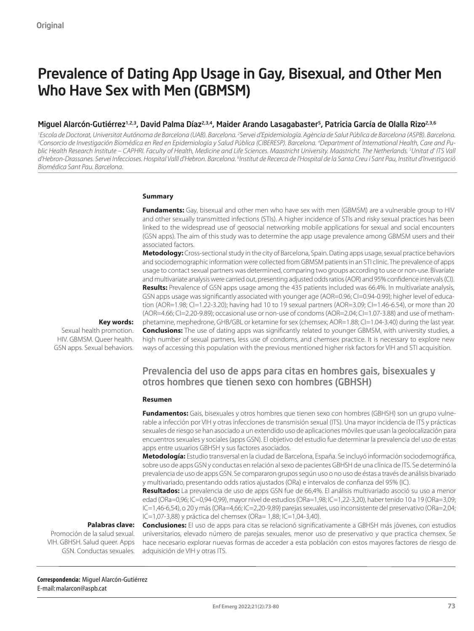# Prevalence of Dating App Usage in Gay, Bisexual, and Other Men Who Have Sex with Men (GBMSM)

#### Miguel Alarcón-Gutiérrez<sup>1,2,3</sup>, David Palma Díaz<sup>2,3,4</sup>, Maider Arando Lasagabaster<sup>5</sup>, Patricia García de Olalla Rizo<sup>2,3,6</sup>

<sup>1</sup> Escola de Doctorat, Universitat Autónoma de Barcelona (UAB). Barcelona. <sup>2</sup>Servei d'Epidemiología. Agència de Salut Pública de Barcelona (ASPB). Barcelona.<br><sup>3</sup>Consorcio de Investigación Biomédica en Red en Epidemiologí *Consorcio de Investigación Biomédica en Red en Epidemiología y Salud Pública (CIBERESP). Barcelona. 4 Department of International Health, Care and Public Health Research Institute – CAPHRI. Faculty of Health, Medicine and Life Sciences. Maastricht University. Maastricht. The Netherlands. 5 Unitat d' ITS Vall*  d'Hebron-Drassanes. Servei Infeccioses. Hospital Valll d'Hebron. Barcelona. <sup>6</sup>Institut de Recerca de l'Hospital de la Santa Creu i Sant Pau, Institut d'Investigació *Biomédica Sant Pau. Barcelona.*

#### **Summary**

**Fundaments:** Gay, bisexual and other men who have sex with men (GBMSM) are a vulnerable group to HIV and other sexually transmitted infections (STIs). A higher incidence of STIs and risky sexual practices has been linked to the widespread use of geosocial networking mobile applications for sexual and social encounters (GSN apps). The aim of this study was to determine the app usage prevalence among GBMSM users and their associated factors.

**Metodology:** Cross-sectional study in the city of Barcelona, Spain. Dating apps usage, sexual practice behaviors and sociodemographic information were collected from GBMSM patients in an STI clinic. The prevalence of apps usage to contact sexual partners was determined, comparing two groups according to use or non-use. Bivariate and multivariate analysis were carried out, presenting adjusted odds ratios (AOR) and 95% confidence intervals (CI). **Results:** Prevalence of GSN apps usage among the 435 patients included was 66.4%. In multivariate analysis, GSN apps usage was significantly associated with younger age (AOR=0.96; CI=0.94-0.99); higher level of education (AOR=1.98; CI=1.22-3.20); having had 10 to 19 sexual partners (AOR=3.09; CI=1.46-6.54), or more than 20 (AOR=4.66; CI=2.20-9.89); occasional use or non-use of condoms (AOR=2.04; CI=1.07-3.88) and use of methamphetamine, mephedrone, GHB/GBL or ketamine for sex (chemsex; AOR=1.88; Cl=1.04-3.40) during the last year. **Conclusions:** The use of dating apps was significantly related to younger GBMSM, with university studies, a high number of sexual partners, less use of condoms, and chemsex practice. It is necessary to explore new ways of accessing this population with the previous mentioned higher risk factors for VIH and STI acquisition.

**Key words:**  Sexual health promotion. HIV. GBMSM. Queer health.

GSN apps. Sexual behaviors.

### Prevalencia del uso de apps para citas en hombres gais, bisexuales y otros hombres que tienen sexo con hombres (GBHSH)

#### **Resumen**

**Fundamentos:** Gais, bisexuales y otros hombres que tienen sexo con hombres (GBHSH) son un grupo vulnerable a infección por VIH y otras infecciones de transmisión sexual (ITS). Una mayor incidencia de ITS y prácticas sexuales de riesgo se han asociado a un extendido uso de aplicaciones móviles que usan la geolocalización para encuentros sexuales y sociales (apps GSN). El objetivo del estudio fue determinar la prevalencia del uso de estas apps entre usuarios GBHSH y sus factores asociados.

**Metodología:** Estudio transversal en la ciudad de Barcelona, España. Se incluyó información sociodemográfica, sobre uso de apps GSN y conductas en relación al sexo de pacientes GBHSH de una clínica de ITS. Se determinó la prevalencia de uso de apps GSN. Se compararon grupos según uso o no uso de éstas a través de análisis bivariado y multivariado, presentando odds ratios ajustados (ORa) e intervalos de confianza del 95% (IC).

**Resultados:** La prevalencia de uso de apps GSN fue de 66,4%. El análisis multivariado asoció su uso a menor edad (ORa=0,96; IC=0,94-0,99), mayor nivel de estudios (ORa=1,98; IC=1,22-3,20), haber tenido 10 a 19 (ORa=3,09; IC=1,46-6,54), o 20 y más (ORa=4,66; IC=2,20-9,89) parejas sexuales, uso inconsistente del preservativo (ORa=2,04; IC=1,07-3,88) y práctica del chemsex (ORa= 1,88; IC=1,04-3,40).

#### **Palabras clave:**

Promoción de la salud sexual. VIH. GBHSH. Salud queer. Apps GSN. Conductas sexuales.

**Conclusiones:** El uso de apps para citas se relacionó significativamente a GBHSH más jóvenes, con estudios universitarios, elevado número de parejas sexuales, menor uso de preservativo y que practica chemsex. Se hace necesario explorar nuevas formas de acceder a esta población con estos mayores factores de riesgo de adquisición de VIH y otras ITS.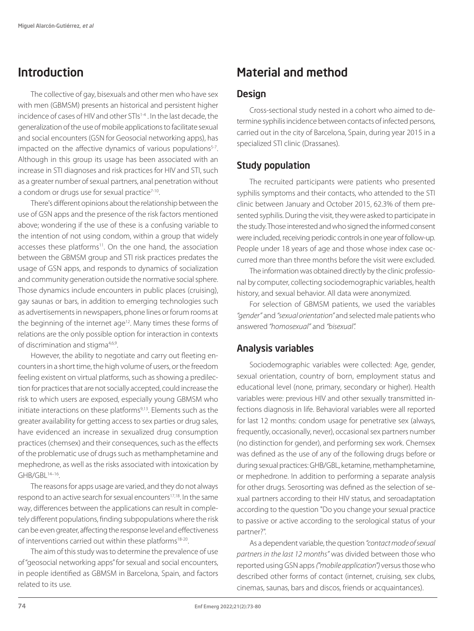## Introduction

The collective of gay, bisexuals and other men who have sex with men (GBMSM) presents an historical and persistent higher incidence of cases of HIV and other STIs<sup>1-4</sup>. In the last decade, the generalization of the use of mobile applications to facilitate sexual and social encounters (GSN for Geosocial networking apps), has impacted on the affective dynamics of various populations<sup>5-7</sup>. Although in this group its usage has been associated with an increase in STI diagnoses and risk practices for HIV and STI, such as a greater number of sexual partners, anal penetration without a condom or drugs use for sexual practice<sup>7-10</sup>.

There's different opinions about the relationship between the use of GSN apps and the presence of the risk factors mentioned above; wondering if the use of these is a confusing variable to the intention of not using condom, within a group that widely accesses these platforms<sup>11</sup>. On the one hand, the association between the GBMSM group and STI risk practices predates the usage of GSN apps, and responds to dynamics of socialization and community generation outside the normative social sphere. Those dynamics include encounters in public places (cruising), gay saunas or bars, in addition to emerging technologies such as advertisements in newspapers, phone lines or forum rooms at the beginning of the internet age<sup>12</sup>. Many times these forms of relations are the only possible option for interaction in contexts of discrimination and stigma<sup>4,6,9</sup>.

However, the ability to negotiate and carry out fleeting encounters in a short time, the high volume of users, or the freedom feeling existent on virtual platforms, such as showing a predilection for practices that are not socially accepted, could increase the risk to which users are exposed, especially young GBMSM who initiate interactions on these platforms<sup>9,13</sup>. Elements such as the greater availability for getting access to sex parties or drug sales, have evidenced an increase in sexualized drug consumption practices (chemsex) and their consequences, such as the effects of the problematic use of drugs such as methamphetamine and mephedrone, as well as the risks associated with intoxication by GHB/GBL14–16.

The reasons for apps usage are varied, and they do not always respond to an active search for sexual encounters<sup>17,18</sup>. In the same way, differences between the applications can result in completely different populations, finding subpopulations where the risk can be even greater, affecting the response level and effectiveness of interventions carried out within these platforms<sup>18-20</sup>.

The aim of this study was to determine the prevalence of use of "geosocial networking apps" for sexual and social encounters, in people identified as GBMSM in Barcelona, Spain, and factors related to its use.

## Material and method

#### **Design**

Cross-sectional study nested in a cohort who aimed to determine syphilis incidence between contacts of infected persons, carried out in the city of Barcelona, Spain, during year 2015 in a specialized STI clinic (Drassanes).

### Study population

The recruited participants were patients who presented syphilis symptoms and their contacts, who attended to the STI clinic between January and October 2015, 62.3% of them presented syphilis. During the visit, they were asked to participate in the study. Those interested and who signed the informed consent were included, receiving periodic controls in one year of follow-up. People under 18 years of age and those whose index case occurred more than three months before the visit were excluded.

The information was obtained directly by the clinic professional by computer, collecting sociodemographic variables, health history, and sexual behavior. All data were anonymized.

For selection of GBMSM patients, we used the variables *"gender"* and *"sexual orientation"* and selected male patients who answered *"homosexual"* and *"bisexual".*

### Analysis variables

Sociodemographic variables were collected: Age, gender, sexual orientation, country of born, employment status and educational level (none, primary, secondary or higher). Health variables were: previous HIV and other sexually transmitted infections diagnosis in life. Behavioral variables were all reported for last 12 months: condom usage for penetrative sex (always, frequently, occasionally, never), occasional sex partners number (no distinction for gender), and performing sex work. Chemsex was defined as the use of any of the following drugs before or during sexual practices: GHB/GBL, ketamine, methamphetamine, or mephedrone. In addition to performing a separate analysis for other drugs. Serosorting was defined as the selection of sexual partners according to their HIV status, and seroadaptation according to the question "Do you change your sexual practice to passive or active according to the serological status of your partner?".

As a dependent variable, the question *"contact mode of sexual partners in the last 12 months"* was divided between those who reported using GSN apps *("mobile application")* versus those who described other forms of contact (internet, cruising, sex clubs, cinemas, saunas, bars and discos, friends or acquaintances).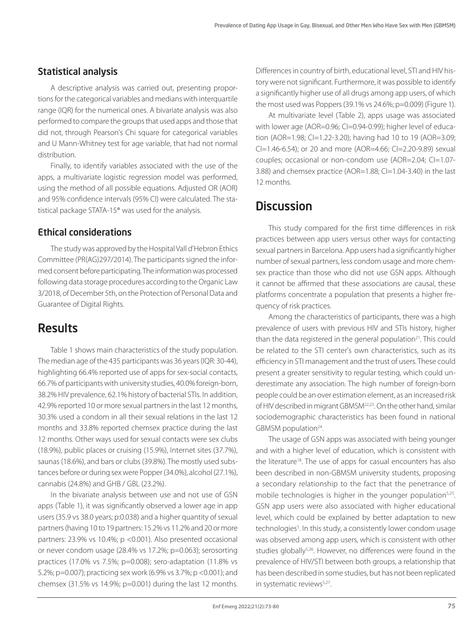### Statistical analysis

A descriptive analysis was carried out, presenting proportions for the categorical variables and medians with interquartile range (IQR) for the numerical ones. A bivariate analysis was also performed to compare the groups that used apps and those that did not, through Pearson's Chi square for categorical variables and U Mann-Whitney test for age variable, that had not normal distribution.

Finally, to identify variables associated with the use of the apps, a multivariate logistic regression model was performed. using the method of all possible equations. Adjusted OR (AOR) and 95% confidence intervals (95% CI) were calculated. The statistical package STATA-15® was used for the analysis.

#### Ethical considerations

The study was approved by the Hospital Vall d'Hebron Ethics Committee (PR(AG)297/2014). The participants signed the informed consent before participating. The information was processed following data storage procedures according to the Organic Law 3/2018, of December 5th, on the Protection of Personal Data and Guarantee of Digital Rights.

### **Results**

Table 1 shows main characteristics of the study population. The median age of the 435 participants was 36 years (IQR: 30-44), highlighting 66.4% reported use of apps for sex-social contacts, 66.7% of participants with university studies, 40.0% foreign-born, 38.2% HIV prevalence, 62.1% history of bacterial STIs. In addition, 42.9% reported 10 or more sexual partners in the last 12 months, 30.3% used a condom in all their sexual relations in the last 12 months and 33.8% reported chemsex practice during the last 12 months. Other ways used for sexual contacts were sex clubs (18.9%), public places or cruising (15.9%), Internet sites (37.7%), saunas (18.6%), and bars or clubs (39.8%). The mostly used substances before or during sex were Popper (34.0%), alcohol (27.1%), cannabis (24.8%) and GHB / GBL (23.2%).

In the bivariate analysis between use and not use of GSN apps (Table 1), it was significantly observed a lower age in app users (35.9 vs 38.0 years; p:0.038) and a higher quantity of sexual partners (having 10 to 19 partners: 15.2% vs 11.2% and 20 or more partners: 23.9% vs 10.4%; p < 0.001). Also presented occasional or never condom usage (28.4% vs 17.2%; p=0.063); serosorting practices (17.0% vs 7.5%; p=0.008); sero-adaptation (11.8% vs 5.2%; p=0.007); practicing sex work (6.9% vs 3.7%; p <0.001); and chemsex (31.5% vs 14.9%; p=0.001) during the last 12 months. Differences in country of birth, educational level, STI and HIV history were not significant. Furthermore, it was possible to identify a significantly higher use of all drugs among app users, of which the most used was Poppers (39.1% vs 24.6%; p=0.009) (Figure 1).

At multivariate level (Table 2), apps usage was associated with lower age (AOR=0.96; CI=0.94-0.99); higher level of education (AOR=1.98; CI=1.22-3.20); having had 10 to 19 (AOR=3.09; CI=1.46-6.54); or 20 and more (AOR=4.66; CI=2.20-9.89) sexual couples; occasional or non-condom use (AOR=2.04; CI=1.07- 3.88) and chemsex practice (AOR=1.88; CI=1.04-3.40) in the last 12 months.

### **Discussion**

This study compared for the first time differences in risk practices between app users versus other ways for contacting sexual partners in Barcelona. App users had a significantly higher number of sexual partners, less condom usage and more chemsex practice than those who did not use GSN apps. Although it cannot be affirmed that these associations are causal, these platforms concentrate a population that presents a higher frequency of risk practices.

Among the characteristics of participants, there was a high prevalence of users with previous HIV and STIs history, higher than the data registered in the general population $21$ . This could be related to the STI center's own characteristics, such as its efficiency in STI management and the trust of users. These could present a greater sensitivity to regular testing, which could underestimate any association. The high number of foreign-born people could be an over estimation element, as an increased risk of HIV described in migrant GBMSM22,23. On the other hand, similar sociodemographic characteristics has been found in national GBMSM population<sup>24</sup>.

The usage of GSN apps was associated with being younger and with a higher level of education, which is consistent with the literature<sup>18</sup>. The use of apps for casual encounters has also been described in non-GBMSM university students, proposing a secondary relationship to the fact that the penetrance of mobile technologies is higher in the younger population<sup>5,25</sup>. GSN app users were also associated with higher educational level, which could be explained by better adaptation to new technologies<sup>5</sup>. In this study, a consistently lower condom usage was observed among app users, which is consistent with other studies globally<sup>5,26</sup>. However, no differences were found in the prevalence of HIV/STI between both groups, a relationship that has been described in some studies, but has not been replicated in systematic reviews<sup>5,27</sup>.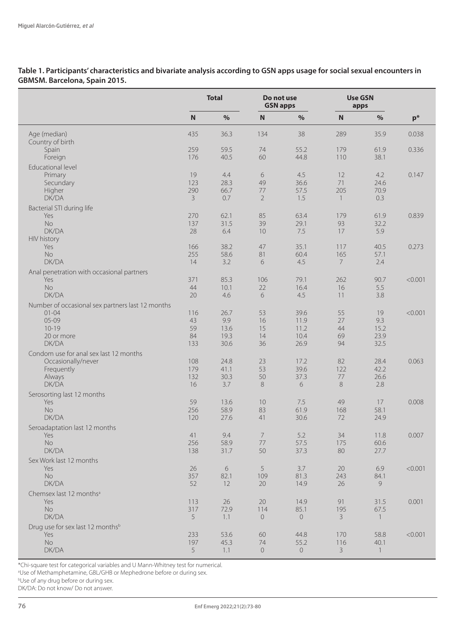**Table 1. Participants' characteristics and bivariate analysis according to GSN apps usage for social sexual encounters in GBMSM. Barcelona, Spain 2015.**

|                                                                                                                |                                   | <b>Total</b>                        | Do not use<br><b>GSN apps</b>   |                                      |                                   | <b>Use GSN</b><br>apps            |         |
|----------------------------------------------------------------------------------------------------------------|-----------------------------------|-------------------------------------|---------------------------------|--------------------------------------|-----------------------------------|-----------------------------------|---------|
|                                                                                                                | $\mathbf N$                       | $\%$                                | $\mathbf N$                     | $\%$                                 | ${\bf N}$                         | $\%$                              | $p^*$   |
| Age (median)<br>Country of birth                                                                               | 435                               | 36.3                                | 134                             | 38                                   | 289                               | 35.9                              | 0.038   |
| Spain<br>Foreign                                                                                               | 259<br>176                        | 59.5<br>40.5                        | 74<br>60                        | 55.2<br>44.8                         | 179<br>110                        | 61.9<br>38.1                      | 0.336   |
| <b>Educational level</b><br>Primary<br>Secundary<br>Higher<br>DK/DA                                            | 19<br>123<br>290<br>$\mathcal{E}$ | 4.4<br>28.3<br>66.7<br>0.7          | 6<br>49<br>77<br>$\overline{2}$ | 4.5<br>36.6<br>57.5<br>1.5           | 12<br>71<br>205<br>$\overline{1}$ | 4.2<br>24.6<br>70.9<br>0.3        | 0.147   |
| Bacterial STI during life<br>Yes<br><b>No</b><br>DK/DA<br><b>HIV</b> history                                   | 270<br>137<br>28                  | 62.1<br>31.5<br>6.4                 | 85<br>39<br>10                  | 63.4<br>29.1<br>7.5                  | 179<br>93<br>17                   | 61.9<br>32.2<br>5.9               | 0.839   |
| Yes<br><b>No</b><br>DK/DA                                                                                      | 166<br>255<br>14                  | 38.2<br>58.6<br>3.2                 | 47<br>81<br>6                   | 35.1<br>60.4<br>4.5                  | 117<br>165<br>$7\overline{ }$     | 40.5<br>57.1<br>2.4               | 0.273   |
| Anal penetration with occasional partners<br>Yes<br><b>No</b><br>DK/DA                                         | 371<br>44<br>20                   | 85.3<br>10.1<br>4.6                 | 106<br>22<br>6                  | 79.1<br>16.4<br>4.5                  | 262<br>16<br>11                   | 90.7<br>5.5<br>3.8                | < 0.001 |
| Number of occasional sex partners last 12 months<br>$01 - 04$<br>$05 - 09$<br>$10 - 19$<br>20 or more<br>DK/DA | 116<br>43<br>59<br>84<br>133      | 26.7<br>9.9<br>13.6<br>19.3<br>30.6 | 53<br>16<br>15<br>14<br>36      | 39.6<br>11.9<br>11.2<br>10.4<br>26.9 | 55<br>27<br>44<br>69<br>94        | 19<br>9.3<br>15.2<br>23.9<br>32.5 | < 0.001 |
| Condom use for anal sex last 12 months<br>Occasionally/never<br>Frequently<br>Always<br>DK/DA                  | 108<br>179<br>132<br>16           | 24.8<br>41.1<br>30.3<br>3.7         | 23<br>53<br>50<br>8             | 17.2<br>39.6<br>37.3<br>6            | 82<br>122<br>77<br>$8\,$          | 28.4<br>42.2<br>26.6<br>2.8       | 0.063   |
| Serosorting last 12 months<br>Yes<br>No<br>DK/DA                                                               | 59<br>256<br>120                  | 13.6<br>58.9<br>27.6                | 10<br>83<br>41                  | 7.5<br>61.9<br>30.6                  | 49<br>168<br>72                   | 17<br>58.1<br>24.9                | 0.008   |
| Seroadaptation last 12 months<br>Yes<br>No.<br>DK/DA                                                           | 41<br>256<br>138                  | 9.4<br>58.9<br>31.7                 | $\overline{7}$<br>77<br>50      | 5.2<br>57.5<br>37.3                  | 34<br>175<br>80                   | 11.8<br>60.6<br>27.7              | 0.007   |
| Sex Work last 12 months<br>Yes<br><b>No</b><br>DK/DA                                                           | 26<br>357<br>52                   | 6<br>82.1<br>12                     | 5<br>109<br>20                  | 3.7<br>81.3<br>14.9                  | 20<br>243<br>26                   | 6.9<br>84.1<br>9                  | < 0.001 |
| Chemsex last 12 months <sup>a</sup><br>Yes<br><b>No</b><br>DK/DA                                               | 113<br>317<br>5                   | 26<br>72.9<br>1.1                   | 20<br>114<br>$\overline{0}$     | 14.9<br>85.1<br>$\overline{0}$       | 91<br>195<br>3                    | 31.5<br>67.5<br>$\overline{1}$    | 0.001   |
| Drug use for sex last 12 months <sup>b</sup><br>Yes<br><b>No</b><br>DK/DA                                      | 233<br>197<br>5                   | 53.6<br>45.3<br>1.1                 | 60<br>74<br>$\sqrt{a}$          | 44.8<br>55.2<br>$\circ$              | 170<br>116<br>$\mathcal{E}$       | 58.8<br>40.1<br>$\overline{1}$    | < 0.001 |

\*Chi-square test for categorical variables and U Mann-Whitney test for numerical.

a Use of Methamphetamine, GBL/GHB or Mephedrone before or during sex.

b Use of any drug before or during sex.

DK/DA: Do not know/ Do not answer.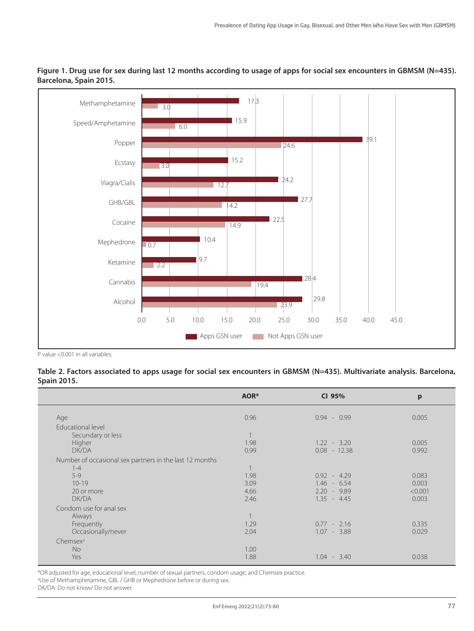



P value <0.001 in all variables.

**Table 2. Factors associated to apps usage for social sex encounters in GBMSM (N=435). Multivariate analysis. Barcelona, Spain 2015.**

|                                                         | AOR* | CI 95%         | p       |
|---------------------------------------------------------|------|----------------|---------|
| Age                                                     | 0.96 | $0.94 - 0.99$  | 0.005   |
| Educational level                                       |      |                |         |
| Secundary or less                                       |      |                |         |
| Higher                                                  | 1.98 | $1.22 - 3.20$  | 0.005   |
| DK/DA                                                   | 0.99 | $0.08 - 12.38$ | 0.992   |
| Number of occasional sex partners in the last 12 months |      |                |         |
| $1 - 4$                                                 |      |                |         |
| $5 - 9$                                                 | 1.98 | $0.92 - 4.29$  | 0.083   |
| $10 - 19$                                               | 3.09 | $1.46 - 6.54$  | 0.003   |
| 20 or more                                              | 4.66 | $2.20 - 9.89$  | < 0.001 |
| <b>DK/DA</b>                                            | 2.46 | $1.35 - 4.45$  | 0.003   |
| Condom use for anal sex                                 |      |                |         |
| Always                                                  |      |                |         |
| Frequently                                              | 1.29 | $0.77 - 2.16$  | 0.335   |
| Occasionally/never                                      | 2.04 | $1.07 - 3.88$  | 0.029   |
| Chemsex <sup>a</sup>                                    |      |                |         |
| <b>No</b>                                               | 1.00 |                |         |
| Yes                                                     | 1.88 | $1.04 - 3.40$  | 0.038   |

\*OR adjusted for age, educational level, number of sexual partners, condom usage, and Chemsex practice. a Use of Methamphetamine, GBL / GHB or Mephedrone before or during sex.

DK/DA: Do not know/ Do not answer.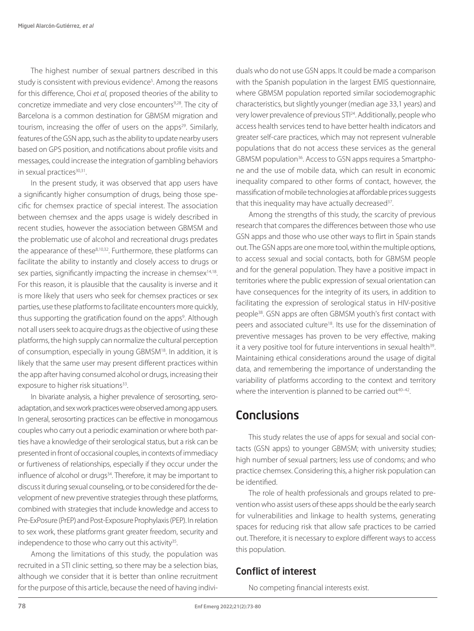The highest number of sexual partners described in this study is consistent with previous evidence<sup>5</sup>. Among the reasons for this difference, Choi *et al,* proposed theories of the ability to concretize immediate and very close encounters<sup>9,28</sup>. The city of Barcelona is a common destination for GBMSM migration and tourism, increasing the offer of users on the apps<sup>29</sup>. Similarly, features of the GSN app, such as the ability to update nearby users based on GPS position, and notifications about profile visits and messages, could increase the integration of gambling behaviors in sexual practices<sup>30,31</sup>.

In the present study, it was observed that app users have a significantly higher consumption of drugs, being those specific for chemsex practice of special interest. The association between chemsex and the apps usage is widely described in recent studies, however the association between GBMSM and the problematic use of alcohol and recreational drugs predates the appearance of these<sup>8,10,32</sup>. Furthermore, these platforms can facilitate the ability to instantly and closely access to drugs or sex parties, significantly impacting the increase in chemsex<sup>14,18</sup>. For this reason, it is plausible that the causality is inverse and it is more likely that users who seek for chemsex practices or sex parties, use these platforms to facilitate encounters more quickly, thus supporting the gratification found on the apps<sup>9</sup>. Although not all users seek to acquire drugs as the objective of using these platforms, the high supply can normalize the cultural perception of consumption, especially in young GBMSM18. In addition, it is likely that the same user may present different practices within the app after having consumed alcohol or drugs, increasing their exposure to higher risk situations<sup>33</sup>.

In bivariate analysis, a higher prevalence of serosorting, seroadaptation, and sex work practices were observed among app users. In general, serosorting practices can be effective in monogamous couples who carry out a periodic examination or where both parties have a knowledge of their serological status, but a risk can be presented in front of occasional couples, in contexts of immediacy or furtiveness of relationships, especially if they occur under the influence of alcohol or drugs<sup>34</sup>. Therefore, it may be important to discuss it during sexual counseling, or to be considered for the development of new preventive strategies through these platforms, combined with strategies that include knowledge and access to Pre-ExPosure (PrEP) and Post-Exposure Prophylaxis (PEP). In relation to sex work, these platforms grant greater freedom, security and independence to those who carry out this activity $35$ .

Among the limitations of this study, the population was recruited in a STI clinic setting, so there may be a selection bias, although we consider that it is better than online recruitment for the purpose of this article, because the need of having individuals who do not use GSN apps. It could be made a comparison with the Spanish population in the largest EMIS questionnaire, where GBMSM population reported similar sociodemographic characteristics, but slightly younger (median age 33,1 years) and very lower prevalence of previous STI24. Additionally, people who access health services tend to have better health indicators and greater self-care practices, which may not represent vulnerable populations that do not access these services as the general GBMSM population<sup>36</sup>. Access to GSN apps requires a Smartphone and the use of mobile data, which can result in economic inequality compared to other forms of contact, however, the massification of mobile technologies at affordable prices suggests that this inequality may have actually decreased<sup>37</sup>.

Among the strengths of this study, the scarcity of previous research that compares the differences between those who use GSN apps and those who use other ways to flirt in Spain stands out. The GSN apps are one more tool, within the multiple options, to access sexual and social contacts, both for GBMSM people and for the general population. They have a positive impact in territories where the public expression of sexual orientation can have consequences for the integrity of its users, in addition to facilitating the expression of serological status in HIV-positive people38. GSN apps are often GBMSM youth's first contact with peers and associated culture<sup>18</sup>. Its use for the dissemination of preventive messages has proven to be very effective, making it a very positive tool for future interventions in sexual health<sup>39</sup>. Maintaining ethical considerations around the usage of digital data, and remembering the importance of understanding the variability of platforms according to the context and territory where the intervention is planned to be carried out<sup>40–42</sup>.

## **Conclusions**

This study relates the use of apps for sexual and social contacts (GSN apps) to younger GBMSM; with university studies; high number of sexual partners; less use of condoms; and who practice chemsex. Considering this, a higher risk population can be identified.

The role of health professionals and groups related to prevention who assist users of these apps should be the early search for vulnerabilities and linkage to health systems, generating spaces for reducing risk that allow safe practices to be carried out. Therefore, it is necessary to explore different ways to access this population.

### Conflict of interest

No competing financial interests exist.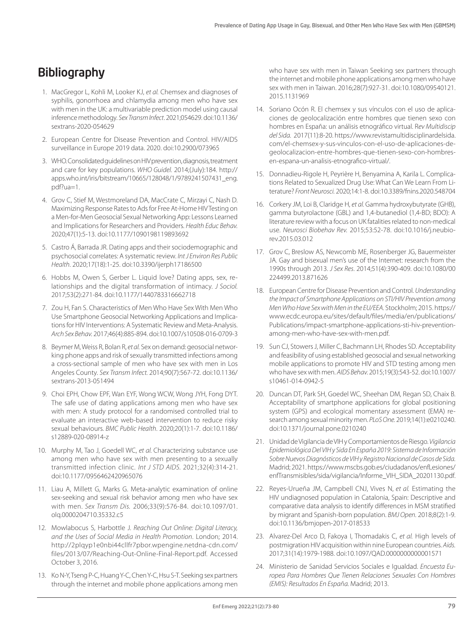## Bibliography

- 1. MacGregor L, Kohli M, Looker KJ, *et al.* Chemsex and diagnoses of syphilis, gonorrhoea and chlamydia among men who have sex with men in the UK: a multivariable prediction model using causal inference methodology. *Sex Transm Infect*. 2021;054629. doi:10.1136/ sextrans-2020-054629
- 2. European Centre for Disease Prevention and Control. HIV/AIDS surveillance in Europe 2019 data. 2020. doi:10.2900/073965
- 3. WHO. Consolidated guidelines on HIV prevention, diagnosis, treatment and care for key populations. *WHO Guidel.* 2014;(July):184. http:// apps.who.int/iris/bitstream/10665/128048/1/9789241507431\_eng. pdf?ua=1.
- 4. Grov C, Stief M, Westmoreland DA, MacCrate C, Mirzayi C, Nash D. Maximizing Response Rates to Ads for Free At-Home HIV Testing on a Men-for-Men Geosocial Sexual Networking App: Lessons Learned and Implications for Researchers and Providers. *Health Educ Behav.*  2020;47(1):5-13. doi:10.1177/1090198119893692
- 5. Castro Á, Barrada JR. Dating apps and their sociodemographic and psychosocial correlates: A systematic review. *Int J Environ Res Public Health*. 2020;17(18):1-25. doi:10.3390/ijerph17186500
- 6. Hobbs M, Owen S, Gerber L. Liquid love? Dating apps, sex, relationships and the digital transformation of intimacy. *J Sociol.*  2017;53(2):271-84. doi:10.1177/1440783316662718
- 7. Zou H, Fan S. Characteristics of Men Who Have Sex With Men Who Use Smartphone Geosocial Networking Applications and Implications for HIV Interventions: A Systematic Review and Meta-Analysis. *Arch Sex Behav.* 2017;46(4):885-894. doi:10.1007/s10508-016-0709-3
- 8. Beymer M, Weiss R, Bolan R, *et al.* Sex on demand: geosocial networking phone apps and risk of sexually transmitted infections among a cross-sectional sample of men who have sex with men in Los Angeles County. *Sex Transm Infect.* 2014;90(7):567-72. doi:10.1136/ sextrans-2013-051494
- 9. Choi EPH, Chow EPF, Wan EYF, Wong WCW, Wong JYH, Fong DYT. The safe use of dating applications among men who have sex with men: A study protocol for a randomised controlled trial to evaluate an interactive web-based intervention to reduce risky sexual behaviours. *BMC Public Health*. 2020;20(1):1-7. doi:10.1186/ s12889-020-08914-z
- 10. Murphy M, Tao J, Goedell WC, *et al.* Characterizing substance use among men who have sex with men presenting to a sexually transmitted infection clinic. *Int J STD AIDS.* 2021;32(4):314-21. doi:10.1177/0956462420965076
- 11. Liau A, Millett G, Marks G. Meta-analytic examination of online sex-seeking and sexual risk behavior among men who have sex with men. *Sex Transm Dis.* 2006;33(9):576-84. doi:10.1097/01. olq.0000204710.35332.c5
- 12. Mowlabocus S, Harbottle J. *Reaching Out Online: Digital Literacy, and the Uses of Social Media in Health Promotion*. London; 2014. http://2plqyp1e0nbi44cllfr7pbor.wpengine.netdna-cdn.com/ files/2013/07/Reaching-Out-Online-Final-Report.pdf. Accessed October 3, 2016.
- 13. Ko N-Y, Tseng P-C, Huang Y-C, Chen Y-C, Hsu S-T. Seeking sex partners through the internet and mobile phone applications among men

who have sex with men in Taiwan Seeking sex partners through the internet and mobile phone applications among men who have sex with men in Taiwan. 2016;28(7):927-31. doi:10.1080/09540121. 2015.1131969

- 14. Soriano Ocón R. El chemsex y sus vínculos con el uso de aplicaciones de geolocalización entre hombres que tienen sexo con hombres en España: un análisis etnográfico virtual. R*ev Multidiscip del Sida.* 2017(11):8-20. https://www.revistamultidisciplinardelsida. com/el-chemsex-y-sus-vinculos-con-el-uso-de-aplicaciones-degeolocalizacion-entre-hombres-que-tienen-sexo-con-hombresen-espana-un-analisis-etnografico-virtual/.
- 15. Donnadieu-Rigole H, Peyrière H, Benyamina A, Karila L. Complications Related to Sexualized Drug Use: What Can We Learn From Literature? *Front Neurosci.* 2020;14:1-8. doi:10.3389/fnins.2020.548704
- 16. Corkery JM, Loi B, Claridge H, *et al.* Gamma hydroxybutyrate (GHB), gamma butyrolactone (GBL) and 1,4-butanediol (1,4-BD; BDO): A literature review with a focus on UK fatalities related to non-medical use. *Neurosci Biobehav Rev.* 2015;53:52-78. doi:10.1016/j.neubiorev.2015.03.012
- 17. Grov C, Breslow AS, Newcomb ME, Rosenberger JG, Bauermeister JA. Gay and bisexual men's use of the Internet: research from the 1990s through 2013. *J Sex Res*. 2014;51(4):390-409. doi:10.1080/00 224499.2013.871626
- 18. European Centre for Disease Prevention and Control. *Understanding the Impact of Smartphone Applications on STI/HIV Prevention among Men Who Have Sex with Men in the EU/EEA.* Stockholm; 2015. https:// www.ecdc.europa.eu/sites/default/files/media/en/publications/ Publications/impact-smartphone-applications-sti-hiv-preventionamong-men-who-have-sex-with-men.pdf.
- 19. Sun CJ, Stowers J, Miller C, Bachmann LH, Rhodes SD. Acceptability and feasibility of using established geosocial and sexual networking mobile applications to promote HIV and STD testing among men who have sex with men. *AIDS Behav.* 2015;19(3):543-52. doi:10.1007/ s10461-014-0942-5
- 20. Duncan DT, Park SH, Goedel WC, Sheehan DM, Regan SD, Chaix B. Acceptability of smartphone applications for global positioning system (GPS) and ecological momentary assessment (EMA) research among sexual minority men. *PLoS One.* 2019;14(1):e0210240. doi:10.1371/journal.pone.0210240
- 21. Unidad de Vigilancia de VIH y Comportamientos de Riesgo. *Vigilancia Epidemiológica Del VIH y Sida En España 2019: Sistema de Información Sobre Nuevos Diagnósticos de VIH y Registro Nacional de Casos de Sida.* Madrid; 2021. https://www.mscbs.gob.es/ciudadanos/enfLesiones/ enfTransmisibles/sida/vigilancia/Informe\_VIH\_SIDA\_20201130.pdf.
- 22. Reyes-Urueña JM, Campbell CNJ, Vives N, *et al.* Estimating the HIV undiagnosed population in Catalonia, Spain: Descriptive and comparative data analysis to identify differences in MSM stratified by migrant and Spanish-born population. *BMJ Open.* 2018;8(2):1-9. doi:10.1136/bmjopen-2017-018533
- 23. Alvarez-Del Arco D, Fakoya I, Thomadakis C, *et al.* High levels of postmigration HIV acquisition within nine European countries. *Aids.*  2017;31(14):1979-1988. doi:10.1097/QAD.0000000000001571
- 24. Ministerio de Sanidad Servicios Sociales e Igualdad. *Encuesta Europea Para Hombres Que Tienen Relaciones Sexuales Con Hombres (EMIS): Resultados En España.* Madrid; 2013.